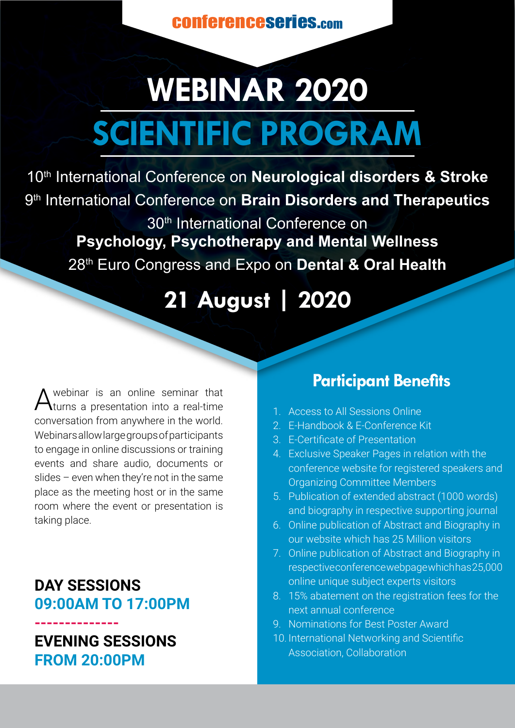conferenceseries.com

# **WEBINAR 2020 SCIENTIFIC PROGRAM**

10th International Conference on **Neurological disorders & Stroke** 9th International Conference on **Brain Disorders and Therapeutics** 

30<sup>th</sup> International Conference on **Psychology, Psychotherapy and Mental Wellness** 28th Euro Congress and Expo on **Dental & Oral Health** 

**21 August | 2020**

A webinar is an online seminar that<br>A turns a presentation into a real-time conversation from anywhere in the world. Webinars allow large groups of participants to engage in online discussions or training events and share audio, documents or slides – even when they're not in the same place as the meeting host or in the same room where the event or presentation is taking place.

**DAY SESSIONS 09:00AM TO 17:00PM**

## **-------------- EVENING SESSIONS FROM 20:00PM**

# **Participant Benefits**

- 1. Access to All Sessions Online
- 2. E-Handbook & E-Conference Kit
- 3. E-Certificate of Presentation
- 4. Exclusive Speaker Pages in relation with the conference website for registered speakers and Organizing Committee Members
- 5. Publication of extended abstract (1000 words) and biography in respective supporting journal
- 6. Online publication of Abstract and Biography in our website which has 25 Million visitors
- 7. Online publication of Abstract and Biography in respective conference webpage which has 25,000 online unique subject experts visitors
- 8. 15% abatement on the registration fees for the next annual conference
- 9. Nominations for Best Poster Award
- 10. International Networking and Scientific Association, Collaboration